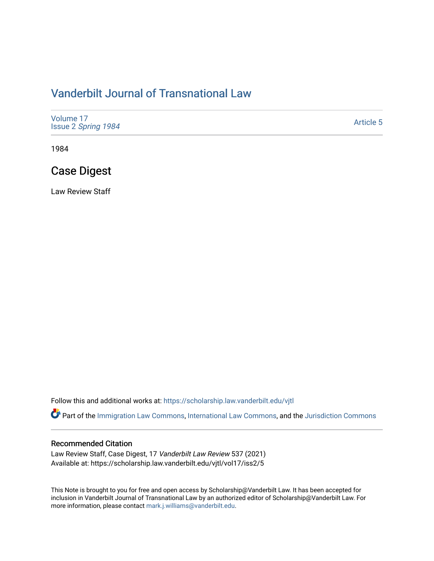# [Vanderbilt Journal of Transnational Law](https://scholarship.law.vanderbilt.edu/vjtl)

| Volume 17<br>Issue 2 Spring 1984 | <b>Article 5</b> |
|----------------------------------|------------------|
|----------------------------------|------------------|

1984

# Case Digest

Law Review Staff

Follow this and additional works at: [https://scholarship.law.vanderbilt.edu/vjtl](https://scholarship.law.vanderbilt.edu/vjtl?utm_source=scholarship.law.vanderbilt.edu%2Fvjtl%2Fvol17%2Fiss2%2F5&utm_medium=PDF&utm_campaign=PDFCoverPages) 

Part of the [Immigration Law Commons](http://network.bepress.com/hgg/discipline/604?utm_source=scholarship.law.vanderbilt.edu%2Fvjtl%2Fvol17%2Fiss2%2F5&utm_medium=PDF&utm_campaign=PDFCoverPages), [International Law Commons](http://network.bepress.com/hgg/discipline/609?utm_source=scholarship.law.vanderbilt.edu%2Fvjtl%2Fvol17%2Fiss2%2F5&utm_medium=PDF&utm_campaign=PDFCoverPages), and the Jurisdiction Commons

#### Recommended Citation

Law Review Staff, Case Digest, 17 Vanderbilt Law Review 537 (2021) Available at: https://scholarship.law.vanderbilt.edu/vjtl/vol17/iss2/5

This Note is brought to you for free and open access by Scholarship@Vanderbilt Law. It has been accepted for inclusion in Vanderbilt Journal of Transnational Law by an authorized editor of Scholarship@Vanderbilt Law. For more information, please contact [mark.j.williams@vanderbilt.edu](mailto:mark.j.williams@vanderbilt.edu).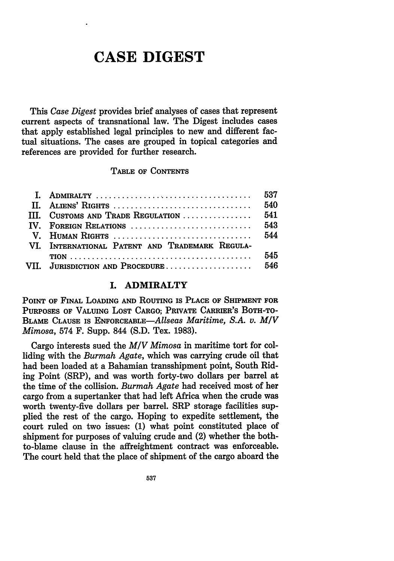# **CASE DIGEST**

This *Case Digest* provides brief analyses of cases that represent current aspects of transnational law. The Digest includes cases that apply established legal principles to new and different factual situations. The cases are grouped in topical categories and references are provided for further research.

#### TABLE OF CONTENTS

| II. ALIENS' RIGHTS                             | 540 |
|------------------------------------------------|-----|
| III. CUSTOMS AND TRADE REGULATION              | 541 |
| IV. FOREIGN RELATIONS                          | 543 |
|                                                |     |
| VI. INTERNATIONAL PATENT AND TRADEMARK REGULA- |     |
|                                                | 545 |
| VII. JURISDICTION AND PROCEDURE 546            |     |

#### **I. ADMIRALTY**

POINT OF FINAL LOADING **AND ROUTING** IS **PLACE** OF **SHIPMENT** FOR **PURPOSES** OF VALUING **LOST** CARGO; PRIVATE CARRIER'S BOTH-TO-BLAME **CLAUSE** IS ENFORCEABLE-Allseas *Maritime, S.A. v. M/V Mimosa,* 574 F. Supp. 844 (S.D. Tex. 1983).

Cargo interests sued the *MIV Mimosa* in maritime tort for colliding with the *Burmah Agate,* which was carrying crude oil that had been loaded at a Bahamian transshipment point, South Riding Point (SRP), and was worth forty-two dollars per barrel at the time of the collision. *Burmah Agate* had received most of her cargo from a supertanker that had left Africa when the crude was worth twenty-five dollars per barrel. SRP storage facilities supplied the rest of the cargo. Hoping to expedite settlement, the court ruled on two issues: (1) what point constituted place of shipment for purposes of valuing crude and (2) whether the bothto-blame clause in the affreightment contract was enforceable. The court held that the place of shipment of the cargo aboard the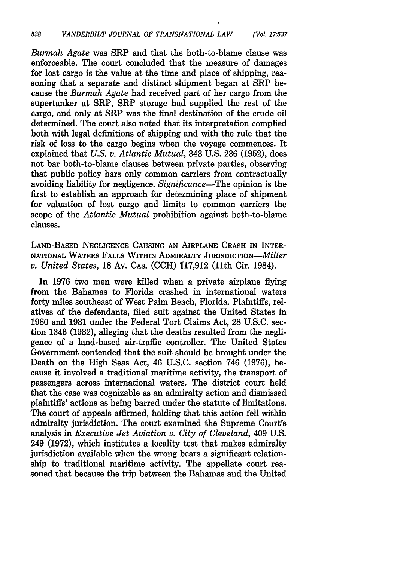*Burmah Agate* was SRP and that the both-to-blame clause was enforceable. The court concluded that the measure of damages for lost cargo is the value at the time and place of shipping, reasoning that a separate and distinct shipment began at SRP because the *Burmah Agate* had received part of her cargo from the supertanker at SRP, SRP storage had supplied the rest of the cargo, and only at SRP was the final destination of the crude oil determined. The court also noted that its interpretation complied both with legal definitions of shipping and with the rule that the risk of loss to the cargo begins when the voyage commences. It explained that *U.S. v. Atlantic Mutual,* 343 U.S. 236 (1952), does not bar both-to-blame clauses between private parties, observing that public policy bars only common carriers from contractually avoiding liability for negligence. *Significance-The* opinion is the first to establish an approach for determining place of shipment for valuation of lost cargo and limits to common carriers the scope of the *Atlantic Mutual* prohibition against both-to-blame clauses.

**LAND-BASED NEGLIGENCE CAUSING AN** AIRPLANE CRASH **IN** INTER-**NATIONAL** WATERS **FALLS** WITHIN ADMIRALTY JURISDICTION-Miller *v. United States,* **18** Av. **CAS. (CCH) 17,912** (11th Cir. 1984).

In **1976** two men were killed when a private airplane flying from the Bahamas to Florida crashed in international waters forty miles southeast of West Palm Beach, Florida. Plaintiffs, relatives of the defendants, filed suit against the United States in **1980** and **1981** under the Federal Tort Claims Act, **28 U.S.C.** section 1346 **(1982),** alleging that the deaths resulted from the negligence of a land-based air-traffic controller. The United States Government contended that the suit should be brought under the Death on the High Seas Act, 46 **U.S.C.** section 746 **(1976),** because it involved a traditional maritime activity, the transport of passengers across international waters. The district court held that the case was cognizable as an admiralty action and dismissed plaintiffs' actions as being barred under the statute of limitations. The court of appeals affirmed, holding that this action fell within admiralty jurisdiction. The court examined the Supreme Court's analysis in *Executive Jet Aviation v. City of Cleveland,* 409 **U.S.** 249 **(1972),** which institutes a locality test that makes admiralty jurisdiction available when the wrong bears a significant relationship to traditional maritime activity. The appellate court reasoned that because the trip between the Bahamas and the United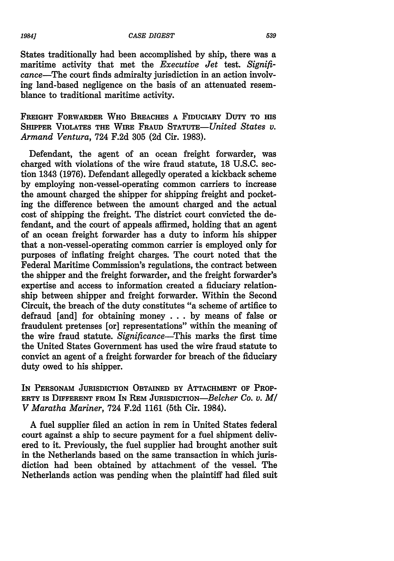States traditionally had been accomplished by ship, there was a maritime activity that met the *Executive Jet* test. *Signifi*cance-The court finds admiralty jurisdiction in an action involving land-based negligence on the basis of an attenuated resemblance to traditional maritime activity.

FREIGHT FORWARDER WHO BREACHES **A** FIDUCIARY DUTY TO HIS SHIPPER VIOLATES **THE** WIRE **FRAUD** *STATuTE-United States v. Armand Ventura,* 724 F.2d 305 (2d Cir. 1983).

Defendant, the agent of an ocean freight forwarder, was charged with violations of the wire fraud statute, 18 U.S.C. section 1343 (1976). Defendant allegedly operated a kickback scheme by employing non-vessel-operating common carriers to increase the amount charged the shipper for shipping freight and pocketing the difference between the amount charged and the actual cost of shipping the freight. The district court convicted the defendant, and the court of appeals affirmed, holding that an agent of an ocean freight forwarder has a duty to inform his shipper that a non-vessel-operating common carrier is employed only for purposes of inflating freight charges. The court noted that the Federal Maritime Commission's regulations, the contract between the shipper and the freight forwarder, and the freight forwarder's expertise and access to information created a fiduciary relationship between shipper and freight forwarder. Within the Second Circuit, the breach of the duty constitutes "a scheme of artifice to defraud [and] for obtaining money . . . by means of false or fraudulent pretenses [or] representations" within the meaning of the wire fraud statute. *Significance-This* marks the first time the United States Government has used the wire fraud statute to convict an agent of a freight forwarder for breach of the fiduciary duty owed to his shipper.

IN PERSONAM JURISDICTION OBTAINED BY ATTACHMENT OF PROP-**ERTY IS DIFFERENT FROM** IN REM JURISDICTION-Belcher *Co. v. MI V Maratha Mariner,* 724 F.2d 1161 (5th Cir. 1984).

A fuel supplier filed an action in rem in United States federal court against a ship to secure payment for a fuel shipment delivered to it. Previously, the fuel supplier had brought another suit in the Netherlands based on the same transaction in which jurisdiction had been obtained by attachment of the vessel. The Netherlands action was pending when the plaintiff had filed suit

*19841*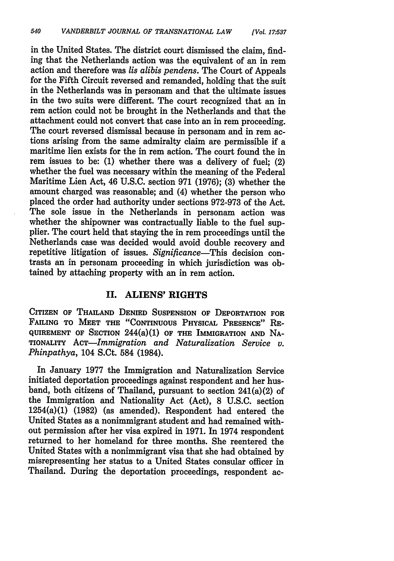in the United States. The district court dismissed the claim, finding that the Netherlands action was the equivalent of an in rem action and therefore was *lis alibis pendens.* The Court of Appeals for the Fifth Circuit reversed and remanded, holding that the suit in the Netherlands was in personam and that the ultimate issues in the two suits were different. The court recognized that an in rem action could not be brought in the Netherlands and that the attachment could not convert that case into an in rem proceeding. The court reversed dismissal because in personam and in rem actions arising from the same admiralty claim are permissible if a maritime lien exists for the in rem action. The court found the in rem issues to be: **(1)** whether there was a delivery of fuel; (2) whether the fuel was necessary within the meaning of the Federal Maritime Lien Act, 46 **U.S.C.** section **971 (1976); (3)** whether the amount charged was reasonable; and (4) whether the person who placed the order had authority under sections **972-973** of the Act. The sole issue in the Netherlands in personam action was whether the shipowner was contractually liable to the fuel supplier. The court held that staying the in rem proceedings until the Netherlands case was decided would avoid double recovery and repetitive litigation of issues. *Significance-This* decision contrasts an in personam proceeding in which jurisdiction was obtained **by** attaching property with an in rem action.

#### **II. ALIENS' RIGHTS**

CITIZEN OF **THAILAND DENIED SUSPENSION** OF DEPORTATION FOR **FAILING** TO **MEET** THE **"CONTINUOUS** PHYSICAL **PRESENCE"** RE-**QUIREMENT OF SECTION** 244(a)(1) OF THE IMMIGRATION **AND NA-**TIONALITY *AcT-Immigration and Naturalization Service v. Phinpathya,* 104 S.Ct. 584 (1984).

In January 1977 the Immigration and Naturalization Service initiated deportation proceedings against respondent and her husband, both citizens of Thailand, pursuant to section 241(a)(2) of the Immigration and Nationality Act (Act), 8 U.S.C. section 1254(a)(1) (1982) (as amended). Respondent had entered the United States as a nonimmigrant student and had remained without permission after her visa expired in 1971. In 1974 respondent returned to her homeland for three months. She reentered the United States with a nonimmigrant visa that she had obtained by misrepresenting her status to a United States consular officer in Thailand. During the deportation proceedings, respondent ac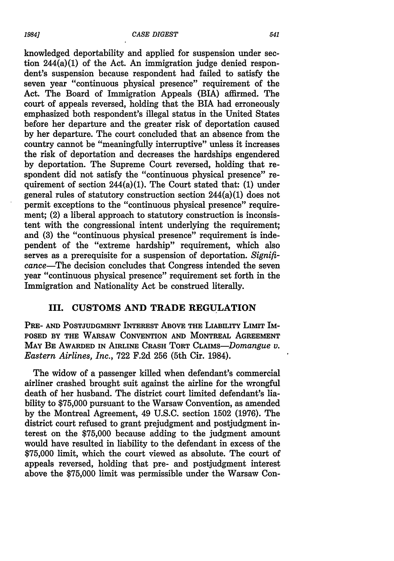knowledged deportability and applied for suspension under section 244(a)(1) of the Act. An immigration judge denied respondent's suspension because respondent had failed to satisfy the seven year "continuous physical presence" requirement of the Act. The Board of Immigration Appeals (BIA) affirmed. The court of appeals reversed, holding that the BIA had erroneously emphasized both respondent's illegal status in the United States before her departure and the greater risk of deportation caused by her departure. The court concluded that an absence from the country cannot be "meaningfully interruptive" unless it increases the risk of deportation and decreases the hardships engendered by deportation. The Supreme Court reversed, holding that respondent did not satisfy the "continuous physical presence" requirement of section  $244(a)(1)$ . The Court stated that: (1) under general rules of statutory construction section 244(a)(1) does not permit exceptions to the "continuous physical presence" requirement; (2) a liberal approach to statutory construction is inconsistent with the congressional intent underlying the requirement; and (3) the "continuous physical presence" requirement is independent of the "extreme hardship" requirement, which also serves as a prerequisite for a suspension of deportation. *Significance-The* decision concludes that Congress intended the seven year "continuous physical presence" requirement set forth in the Immigration and Nationality Act be construed literally.

#### III. CUSTOMS **AND** TRADE **REGULATION**

PRE- AND POSTJUDGMENT INTEREST ABOVE THE LIABILITY LIMIT IM-**POSED BY THE WARSAW CONVENTION AND MONTREAL AGREEMENT** MAY BE AWARDED IN AIRLINE CRASH TORT CLAIMS-Domangue v. *Eastern Airlines, Inc.,* **722 F.2d 256** (5th Cir. 1984).

The widow of a passenger killed when defendant's commercial airliner crashed brought suit against the airline for the wrongful death of her husband. The district court limited defendant's liability to **\$75,000** pursuant to the Warsaw Convention, as amended **by** the Montreal Agreement, 49 **U.S.C.** section **1502 (1976).** The district court refused to grant prejudgment and postjudgment interest on the **\$75,000** because adding to the judgment amount would have resulted in liability to the defendant in excess of the **\$75,000** limit, which the court viewed as absolute. The court of appeals reversed, holding that pre- and postjudgment interest above the **\$75,000** limit was permissible under the Warsaw Con-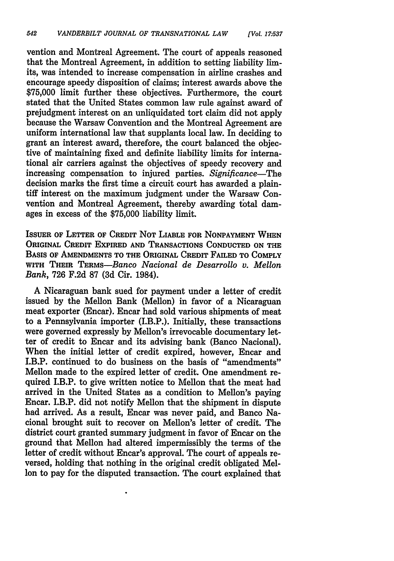vention and Montreal Agreement. The court of appeals reasoned that the Montreal Agreement, in addition to setting liability limits, was intended to increase compensation in airline crashes and encourage speedy disposition of claims; interest awards above the \$75,000 limit further these objectives. Furthermore, the court stated that the United States common law rule against award of prejudgment interest on an unliquidated tort claim did not apply because the Warsaw Convention and the Montreal Agreement are uniform international law that supplants local law. In deciding to grant an interest award, therefore, the court balanced the objective of maintaining fixed and definite liability limits for international air carriers against the objectives of speedy recovery and increasing compensation to injured parties. *Significance-The* decision marks the first time a circuit court has awarded a plaintiff interest on the maximum judgment under the Warsaw Convention and Montreal Agreement, thereby awarding total damages in excess of the \$75,000 liability limit.

**ISSUER** OF LETTER OF CREDIT **NOT** LIABLE FOR NONPAYMENT WHEN **ORIGINAL** CREDIT EXPIRED **AND TRANSACTIONS CONDUCTED ON** THE **BASIS** OF AMENDMENTS TO THE ORIGINAL CREDIT FAILED TO COMPLY WITH THEIR *TERMs-Banco Nacional de Desarrollo v. Mellon Bank,* 726 F.2d 87 (3d Cir. 1984).

A Nicaraguan bank sued for payment under a letter of credit issued by the Mellon Bank (Mellon) in favor of a Nicaraguan meat exporter (Encar). Encar had sold various shipments of meat to a Pennsylvania importer (I.B.P.). Initially, these transactions were governed expressly by Mellon's irrevocable documentary letter of credit to Encar and its advising bank (Banco Nacional). When the initial letter of credit expired, however, Encar and I.B.P. continued to do business on the basis of "amendments" Mellon made to the expired letter of credit. One amendment required I.B.P. to give written notice to Mellon that the meat had arrived in the United States as a condition to Mellon's paying Encar. I.B.P. did not notify Mellon that the shipment in dispute had arrived. As a result, Encar was never paid, and Banco Nacional brought suit to recover on Mellon's letter of credit. The district court granted summary judgment in favor of Encar on the ground that Mellon had altered impermissibly the terms of the letter of credit without Encar's approval. The court of appeals reversed, holding that nothing in the original credit obligated Mellon to pay for the disputed transaction. The court explained that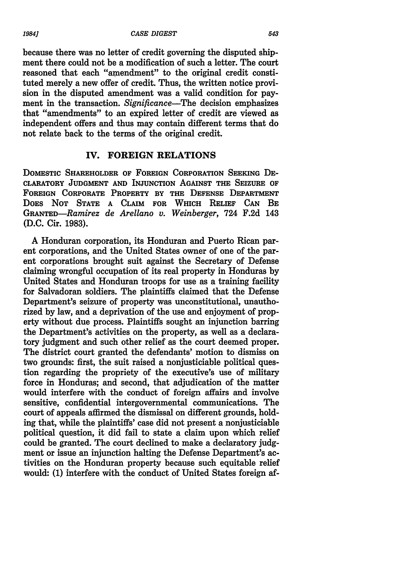because there was no letter of credit governing the disputed shipment there could not be a modification of such a letter. The court reasoned that each "amendment" to the original credit constituted merely a new offer of credit. Thus, the written notice provision in the disputed amendment was a valid condition for payment in the transaction. *Significance-The* decision emphasizes that "amendments" to an expired letter of credit are viewed as independent offers and thus may contain different terms that do not relate back to the terms of the original credit.

## **IV. FOREIGN RELATIONS**

DOMESTIC SHAREHOLDER OF FOREIGN CORPORATION **SEEKING DE-**CLARATORY **JUDGMENT AND** INJUNCTION AGAINST THE **SEIZURE** OF FOREIGN CORPORATE PROPERTY **BY THE DEFENSE** DEPARTMENT DOES **NOT STATE A** CLAIM FOR WHICH **RELIEF CAN** BE *GRANTED-Ramirez de Arellano v. Weinberger,* 724 **F.2d** 143 **(D.C.** Cir. 1983).

A Honduran corporation, its Honduran and Puerto Rican parent corporations, and the United States owner of one of the parent corporations brought suit against the Secretary of Defense claiming wrongful occupation of its real property in Honduras by United States and Honduran troops for use as a training facility for Salvadoran soldiers. The plaintiffs claimed that the Defense Department's seizure of property was unconstitutional, unauthorized by law, and a deprivation of the use and enjoyment of property without due process. Plaintiffs sought an injunction barring the Department's activities on the property, as well as a declaratory judgment and such other relief as the court deemed proper. The district court granted the defendants' motion to dismiss on two grounds: first, the suit raised a nonjusticiable political question regarding the propriety of the executive's use of military force in Honduras; and second, that adjudication of the matter would interfere with the conduct of foreign affairs and involve sensitive, confidential intergovernmental communications. The court of appeals affirmed the dismissal on different grounds, holding that, while the plaintiffs' case did not present a nonjusticiable political question, it did fail to state a claim upon which relief could be granted. The court declined to make a declaratory judgment or issue an injunction halting the Defense Department's activities on the Honduran property because such equitable relief would: (1) interfere with the conduct of United States foreign af-

*19841*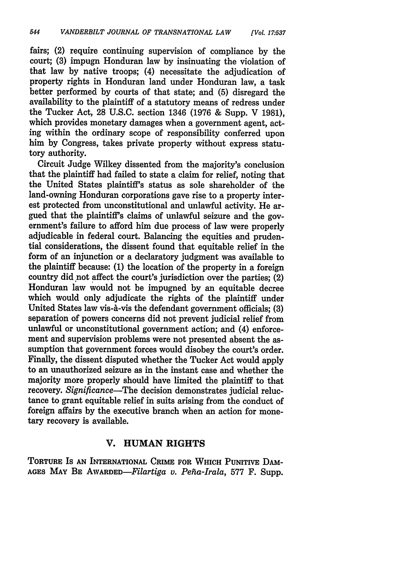fairs; (2) require continuing supervision of compliance **by** the court; **(3)** impugn Honduran law **by** insinuating the violation of that law **by** native troops; (4) necessitate the adjudication of property rights in Honduran land under Honduran law, a task better performed **by** courts of that state; and **(5)** disregard the availability to the plaintiff of a statutory means of redress under the Tucker Act, **28 U.S.C.** section 1346 **(1976 &** Supp. V **1981),** which provides monetary damages when a government agent, acting within the ordinary scope of responsibility conferred upon him **by** Congress, takes private property without express statutory authority.

Circuit Judge Wilkey dissented from the majority's conclusion that the plaintiff had failed to state a claim for relief, noting that the United States plaintiff's status as sole shareholder of the land-owning Honduran corporations gave rise to a property interest protected from unconstitutional and unlawful activity. He argued that the plaintiff's claims of unlawful seizure and the government's failure to afford him due process of law were properly adjudicable in federal court. Balancing the equities and prudential considerations, the dissent found that equitable relief in the form of an injunction or a declaratory judgment was available to the plaintiff because: **(1)** the location of the property in a foreign country did not affect the court's jurisdiction over the parties; (2) Honduran law would not be impugned **by** an equitable decree which would only adjudicate the rights of the plaintiff under United States law vis-à-vis the defendant government officials; (3) separation of powers concerns did not prevent judicial relief from unlawful or unconstitutional government action; and (4) enforcement and supervision problems were not presented absent the assumption that government forces would disobey the court's order. Finally, the dissent disputed whether the Tucker Act would apply to an unauthorized seizure as in the instant case and whether the majority more properly should have limited the plaintiff to that recovery. *Significance-The* decision demonstrates judicial reluctance to grant equitable relief in suits arising from the conduct of foreign affairs **by** the executive branch when an action for monetary recovery is available.

## **V. HUMAN RIGHTS**

**TORTURE** IS **AN INTERNATIONAL CRIME FOR WHICH PUNITIVE** DAm-**AGES MAY BE** *AWARED-Filartiga v. Peha-Irala,* **577** F. Supp.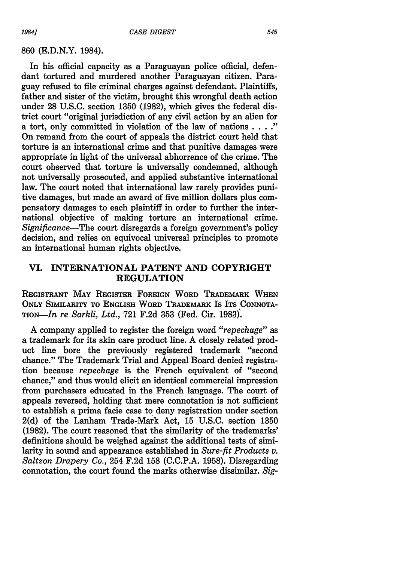*19841*

In his official capacity as a Paraguayan police official, defendant tortured and murdered another Paraguayan citizen. Paraguay refused to file criminal charges against defendant. Plaintiffs, father and sister of the victim, brought this wrongful death action under 28 U.S.C. section 1350 (1982), which gives the federal district court "original jurisdiction of any civil action by an alien for a tort, only committed in violation of the law of nations . **.. ."** On remand from the court of appeals the district court held that torture is an international crime and that punitive damages were appropriate in light of the universal abhorrence of the crime. The court observed that torture is universally condemned, although not universally prosecuted, and applied substantive international law. The court noted that international law rarely provides punitive damages, but made an award of five million dollars plus compensatory damages to each plaintiff in order to further the international objective of making torture an international crime. *Significance-The* court disregards a foreign government's policy decision, and relies on equivocal universal principles to promote an international human rights objective.

## **VI. INTERNATIONAL PATENT AND COPYRIGHT REGULATION**

REGISTRANT MAY REGISTER FOREIGN WORD TRADEMARK WHEN **ONLY** SIMILARITY TO **ENGLISH** WORD TRADEMARK IS ITS **CONNOTA-**TION-In *re Sarkli, Ltd.,* **721 F.2d 353** (Fed. Cir. **1983).**

A company applied to register the foreign word *"repechage" as* a trademark for its skin care product line. A closely related product line bore the previously registered trademark "second chance." The Trademark Trial and Appeal Board denied registration because *repechage* is the French equivalent of "second chance," and thus would elicit an identical commercial impression from purchasers educated in the French language. The court of appeals reversed, holding that mere connotation is not sufficient to establish a prima facie case to deny registration under section **2(d)** of the Lanham Trade-Mark Act, **15 U.S.C.** section **1350 (1982).** The court reasoned that the similarity of the trademarks' definitions should be weighed against the additional tests of similarity in sound and appearance established in *Sure-fit Products v. Saltzon Drapery Co.,* 254 F.2d 158 (C.C.P.A. 1958). Disregarding connotation, the court found the marks otherwise dissimilar. *Sig-*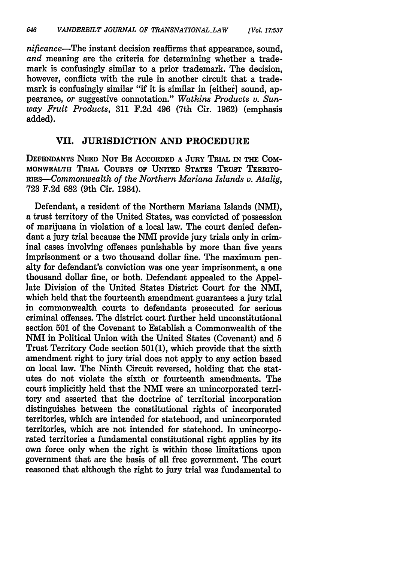*nificance-The* instant decision reaffirms that appearance, sound, *and* meaning are the criteria for determining whether a trademark is confusingly similar to a prior trademark. The decision, however, conflicts with the rule in another circuit that a trademark is confusingly similar "if it is similar in [either] sound, appearance, *or* suggestive connotation." *Watkins Products v. Sunway Fruit Products,* **311 F.2d** 496 (7th Cir. **1962)** (emphasis added).

#### **VII. JURISDICTION AND PROCEDURE**

DEFENDANTS **NEED NOT** BE ACCORDED A **JURY TRIAL IN THE COM-**MONWEALTH TRIAL COURTS OF UNITED STATES TRUST TERRITO-RIEs-Commonwealth *of the Northern Mariana Islands v. Atalig,* **723** F.2d 682 (9th Cir. 1984).

Defendant, a resident of the Northern Mariana Islands (NMI), a trust territory of the United States, was convicted of possession of marijuana in violation of a local law. The court denied defendant a jury trial because the NMI provide jury trials only in criminal cases involving offenses punishable **by** more than five years imprisonment or a two thousand dollar fine. The maximum penalty for defendant's conviction was one year imprisonment, a one thousand dollar fine, or both. Defendant appealed to the Appellate Division of the United States District Court for the NMI, which held that the fourteenth amendment guarantees a jury trial in commonwealth courts to defendants prosecuted for serious criminal offenses. The district court further held unconstitutional section **501** of the Covenant to Establish a Commonwealth of the **NMI** in Political Union with the United States (Covenant) and **5** Trust Territory Code section **501(1),** which provide that the sixth amendment right to jury trial does not apply to any action based on local law. The Ninth Circuit reversed, holding that the statutes do not violate the sixth or fourteenth amendments. The court implicitly held that the NMI were an unincorporated territory and asserted that the doctrine of territorial incorporation distinguishes between the constitutional rights of incorporated territories, which are intended for statehood, and unincorporated territories, which are not intended for statehood. In unincorporated territories a fundamental constitutional right applies **by** its own force only when the right is within those limitations upon government that are the basis of all free government. The court reasoned that although the right to jury trial was fundamental to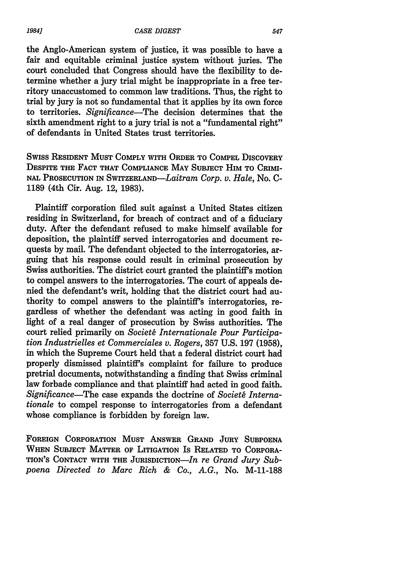the Anglo-American system of justice, it was possible to have a fair and equitable criminal justice system without juries. The court concluded that Congress should have the flexibility to determine whether a jury trial might be inappropriate in a free territory unaccustomed to common law traditions. Thus, the right to trial **by** jury is not so fundamental that it applies by its own **force** to territories. *Significance-The* decision determines that the sixth amendment right to a jury trial is not a "fundamental right" of defendants in United States trust territories.

SwIss **RESIDENT MUST COMPLY WITH ORDER TO COMPEL DISCOVERY DESPITE THE FACT THAT COMPLIANCE MAY SUBJECT HIM TO CRIMI-NAL PROSECUTION IN** SWITZERLAND-Laitram *Corp. v. Hale,* No. **C-**1189 (4th Cir. Aug. 12, 1983).

Plaintiff corporation filed suit against a United States citizen residing in Switzerland, for breach of contract and of a fiduciary duty. After the defendant refused to make himself available for deposition, the plaintiff served interrogatories and document requests by mail. The defendant objected to the interrogatories, arguing that his response could result in criminal prosecution by Swiss authorities. The district court granted the plaintiff's motion to compel answers to the interrogatories. The court of appeals denied the defendant's writ, holding that the district court had authority to compel answers to the plaintiff's interrogatories, regardless of whether the defendant was acting in good faith in light of a real danger of prosecution by Swiss authorities. The court relied primarily on *Societ6 Internationale Pour Participation Industrielles et Commerciales v. Rogers,* 357 U.S. 197 (1958), in which the Supreme Court held that a federal district court had properly dismissed plaintiff's complaint for failure to produce pretrial documents, notwithstanding a finding that Swiss criminal law forbade compliance and that plaintiff had acted in good faith. *Significance-The* case expands the doctrine of *Societ6 Internationale* to compel response to interrogatories from a defendant whose compliance is forbidden by foreign law.

**FOREIGN** CORPORATION **MUST** ANSWER **GRAND JURY SUBPOENA WHEN SUBJECT MATTER OF LITIGATION** Is RELATED **TO** CORPORA-**TION'S CONTACT WITH THE JURISDICTION-In** *re Grand Jury Subpoena Directed to Marc Rich & Co., A.G.,* No. M-11-188